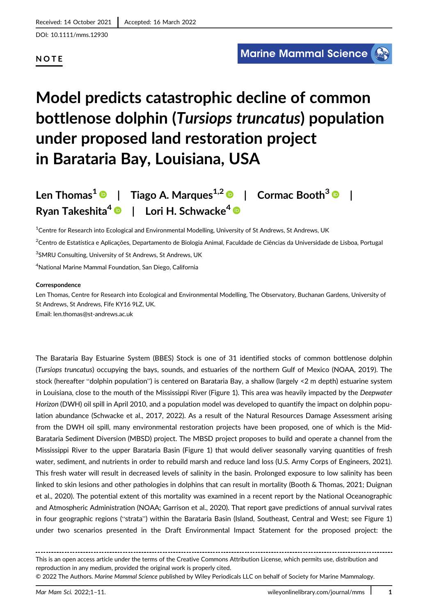DOI: 10.1111/mms.12930

## NOTE

# Model predicts catastrophic decline of common bottlenose dolphin (Tursiops truncatus) population under proposed land restoration project in Barataria Bay, Louisiana, USA

Len Thomas<sup>1</sup>  $\odot$  | Tiago A. Marques<sup>1,2</sup>  $\odot$  | Cormac Booth<sup>3</sup>  $\odot$ Ryan Takeshita<sup>4</sup>  $\bullet$  | Lori H. Schwacke<sup>4</sup>  $\bullet$ 

1 Centre for Research into Ecological and Environmental Modelling, University of St Andrews, St Andrews, UK

2 Centro de Estatística e Aplicações, Departamento de Biologia Animal, Faculdade de Ciências da Universidade de Lisboa, Portugal <sup>3</sup>SMRU Consulting, University of St Andrews, St Andrews, UK

4 National Marine Mammal Foundation, San Diego, California

#### Correspondence

Len Thomas, Centre for Research into Ecological and Environmental Modelling, The Observatory, Buchanan Gardens, University of St Andrews, St Andrews, Fife KY16 9LZ, UK. Email: [len.thomas@st-andrews.ac.uk](mailto:len.thomas@st-andrews.ac.uk)

The Barataria Bay Estuarine System (BBES) Stock is one of 31 identified stocks of common bottlenose dolphin (Tursiops truncatus) occupying the bays, sounds, and estuaries of the northern Gulf of Mexico (NOAA, 2019). The stock (hereafter "dolphin population") is centered on Barataria Bay, a shallow (largely <2 m depth) estuarine system in Louisiana, close to the mouth of the Mississippi River (Figure 1). This area was heavily impacted by the Deepwater Horizon (DWH) oil spill in April 2010, and a population model was developed to quantify the impact on dolphin population abundance (Schwacke et al., 2017, 2022). As a result of the Natural Resources Damage Assessment arising from the DWH oil spill, many environmental restoration projects have been proposed, one of which is the Mid-Barataria Sediment Diversion (MBSD) project. The MBSD project proposes to build and operate a channel from the Mississippi River to the upper Barataria Basin (Figure 1) that would deliver seasonally varying quantities of fresh water, sediment, and nutrients in order to rebuild marsh and reduce land loss (U.S. Army Corps of Engineers, 2021). This fresh water will result in decreased levels of salinity in the basin. Prolonged exposure to low salinity has been linked to skin lesions and other pathologies in dolphins that can result in mortality (Booth & Thomas, 2021; Duignan et al., 2020). The potential extent of this mortality was examined in a recent report by the National Oceanographic and Atmospheric Administration (NOAA; Garrison et al., 2020). That report gave predictions of annual survival rates in four geographic regions ("strata") within the Barataria Basin (Island, Southeast, Central and West; see Figure 1) under two scenarios presented in the Draft Environmental Impact Statement for the proposed project: the

This is an open access article under the terms of the [Creative Commons Attribution](http://creativecommons.org/licenses/by/4.0/) License, which permits use, distribution and reproduction in any medium, provided the original work is properly cited.

<sup>© 2022</sup> The Authors. Marine Mammal Science published by Wiley Periodicals LLC on behalf of Society for Marine Mammalogy.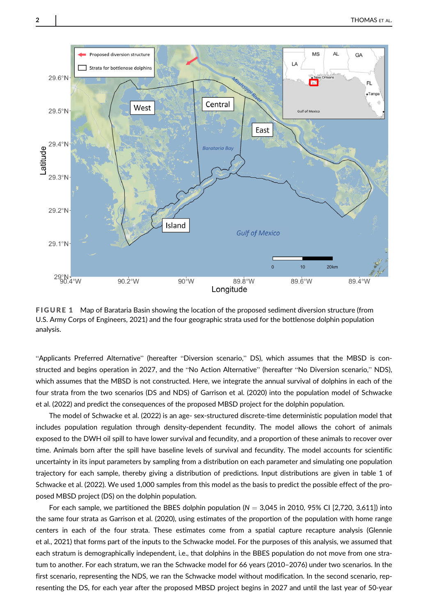

FIGURE 1 Map of Barataria Basin showing the location of the proposed sediment diversion structure (from U.S. Army Corps of Engineers, 2021) and the four geographic strata used for the bottlenose dolphin population analysis.

"Applicants Preferred Alternative" (hereafter "Diversion scenario," DS), which assumes that the MBSD is constructed and begins operation in 2027, and the "No Action Alternative" (hereafter "No Diversion scenario," NDS), which assumes that the MBSD is not constructed. Here, we integrate the annual survival of dolphins in each of the four strata from the two scenarios (DS and NDS) of Garrison et al. (2020) into the population model of Schwacke et al. (2022) and predict the consequences of the proposed MBSD project for the dolphin population.

The model of Schwacke et al. (2022) is an age- sex-structured discrete-time deterministic population model that includes population regulation through density-dependent fecundity. The model allows the cohort of animals exposed to the DWH oil spill to have lower survival and fecundity, and a proportion of these animals to recover over time. Animals born after the spill have baseline levels of survival and fecundity. The model accounts for scientific uncertainty in its input parameters by sampling from a distribution on each parameter and simulating one population trajectory for each sample, thereby giving a distribution of predictions. Input distributions are given in table 1 of Schwacke et al. (2022). We used 1,000 samples from this model as the basis to predict the possible effect of the proposed MBSD project (DS) on the dolphin population.

For each sample, we partitioned the BBES dolphin population ( $N = 3,045$  in 2010, 95% CI [2,720, 3,611]) into the same four strata as Garrison et al. (2020), using estimates of the proportion of the population with home range centers in each of the four strata. These estimates come from a spatial capture recapture analysis (Glennie et al., 2021) that forms part of the inputs to the Schwacke model. For the purposes of this analysis, we assumed that each stratum is demographically independent, i.e., that dolphins in the BBES population do not move from one stratum to another. For each stratum, we ran the Schwacke model for 66 years (2010–2076) under two scenarios. In the first scenario, representing the NDS, we ran the Schwacke model without modification. In the second scenario, representing the DS, for each year after the proposed MBSD project begins in 2027 and until the last year of 50-year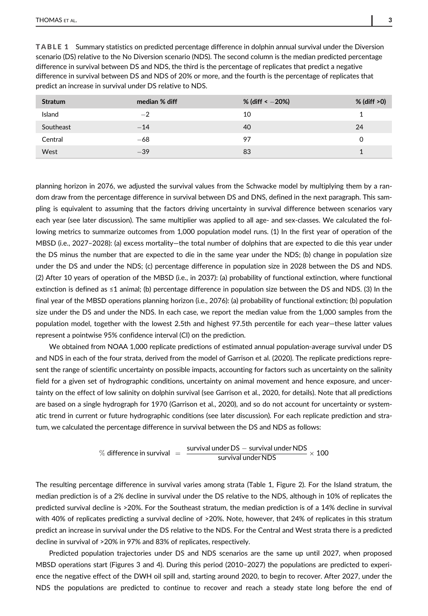TABLE 1 Summary statistics on predicted percentage difference in dolphin annual survival under the Diversion scenario (DS) relative to the No Diversion scenario (NDS). The second column is the median predicted percentage difference in survival between DS and NDS, the third is the percentage of replicates that predict a negative difference in survival between DS and NDS of 20% or more, and the fourth is the percentage of replicates that predict an increase in survival under DS relative to NDS.

| <b>Stratum</b> | median % diff | % (diff $\leq -20\%$ ) | $%$ (diff $>0$ ) |
|----------------|---------------|------------------------|------------------|
| Island         | $-2$          | 10                     |                  |
| Southeast      | $-14$         | 40                     | 24               |
| Central        | $-68$         | 97                     | O                |
| West           | $-39$         | 83                     |                  |

planning horizon in 2076, we adjusted the survival values from the Schwacke model by multiplying them by a random draw from the percentage difference in survival between DS and DNS, defined in the next paragraph. This sampling is equivalent to assuming that the factors driving uncertainty in survival difference between scenarios vary each year (see later discussion). The same multiplier was applied to all age- and sex-classes. We calculated the following metrics to summarize outcomes from 1,000 population model runs. (1) In the first year of operation of the MBSD (i.e., 2027–2028): (a) excess mortality—the total number of dolphins that are expected to die this year under the DS minus the number that are expected to die in the same year under the NDS; (b) change in population size under the DS and under the NDS; (c) percentage difference in population size in 2028 between the DS and NDS. (2) After 10 years of operation of the MBSD (i.e., in 2037): (a) probability of functional extinction, where functional extinction is defined as ≤1 animal; (b) percentage difference in population size between the DS and NDS. (3) In the final year of the MBSD operations planning horizon (i.e., 2076): (a) probability of functional extinction; (b) population size under the DS and under the NDS. In each case, we report the median value from the 1,000 samples from the population model, together with the lowest 2.5th and highest 97.5th percentile for each year—these latter values represent a pointwise 95% confidence interval (CI) on the prediction.

We obtained from NOAA 1,000 replicate predictions of estimated annual population-average survival under DS and NDS in each of the four strata, derived from the model of Garrison et al. (2020). The replicate predictions represent the range of scientific uncertainty on possible impacts, accounting for factors such as uncertainty on the salinity field for a given set of hydrographic conditions, uncertainty on animal movement and hence exposure, and uncertainty on the effect of low salinity on dolphin survival (see Garrison et al., 2020, for details). Note that all predictions are based on a single hydrograph for 1970 (Garrison et al., 2020), and so do not account for uncertainty or systematic trend in current or future hydrographic conditions (see later discussion). For each replicate prediction and stratum, we calculated the percentage difference in survival between the DS and NDS as follows:

$$
\% difference in survival = \frac{survival under DS - survival under NDS}{survival under NDS} \times 100
$$

The resulting percentage difference in survival varies among strata (Table 1, Figure 2). For the Island stratum, the median prediction is of a 2% decline in survival under the DS relative to the NDS, although in 10% of replicates the predicted survival decline is >20%. For the Southeast stratum, the median prediction is of a 14% decline in survival with 40% of replicates predicting a survival decline of >20%. Note, however, that 24% of replicates in this stratum predict an increase in survival under the DS relative to the NDS. For the Central and West strata there is a predicted decline in survival of >20% in 97% and 83% of replicates, respectively.

Predicted population trajectories under DS and NDS scenarios are the same up until 2027, when proposed MBSD operations start (Figures 3 and 4). During this period (2010–2027) the populations are predicted to experience the negative effect of the DWH oil spill and, starting around 2020, to begin to recover. After 2027, under the NDS the populations are predicted to continue to recover and reach a steady state long before the end of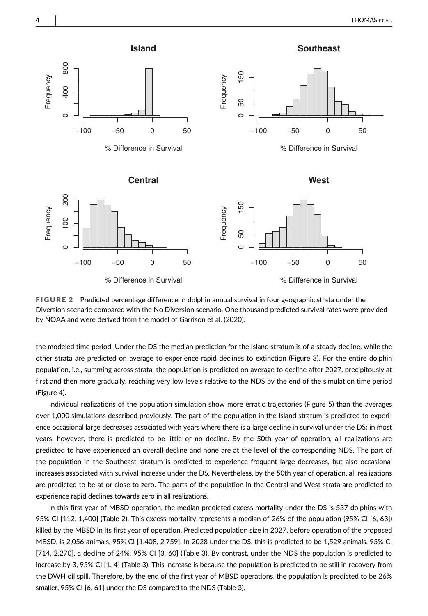

FIGURE 2 Predicted percentage difference in dolphin annual survival in four geographic strata under the Diversion scenario compared with the No Diversion scenario. One thousand predicted survival rates were provided by NOAA and were derived from the model of Garrison et al. (2020).

the modeled time period. Under the DS the median prediction for the Island stratum is of a steady decline, while the other strata are predicted on average to experience rapid declines to extinction (Figure 3). For the entire dolphin population, i.e., summing across strata, the population is predicted on average to decline after 2027, precipitously at first and then more gradually, reaching very low levels relative to the NDS by the end of the simulation time period (Figure 4).

Individual realizations of the population simulation show more erratic trajectories (Figure 5) than the averages over 1,000 simulations described previously. The part of the population in the Island stratum is predicted to experience occasional large decreases associated with years where there is a large decline in survival under the DS; in most years, however, there is predicted to be little or no decline. By the 50th year of operation, all realizations are predicted to have experienced an overall decline and none are at the level of the corresponding NDS. The part of the population in the Southeast stratum is predicted to experience frequent large decreases, but also occasional increases associated with survival increase under the DS. Nevertheless, by the 50th year of operation, all realizations are predicted to be at or close to zero. The parts of the population in the Central and West strata are predicted to experience rapid declines towards zero in all realizations.

In this first year of MBSD operation, the median predicted excess mortality under the DS is 537 dolphins with 95% CI [112, 1,400] (Table 2). This excess mortality represents a median of 26% of the population (95% CI [6, 63]) killed by the MBSD in its first year of operation. Predicted population size in 2027, before operation of the proposed MBSD, is 2,056 animals, 95% CI [1,408, 2,759]. In 2028 under the DS, this is predicted to be 1,529 animals, 95% CI [714, 2,270], a decline of 24%, 95% CI [3, 60] (Table 3). By contrast, under the NDS the population is predicted to increase by 3, 95% CI [1, 4] (Table 3). This increase is because the population is predicted to be still in recovery from the DWH oil spill. Therefore, by the end of the first year of MBSD operations, the population is predicted to be 26% smaller, 95% CI [6, 61] under the DS compared to the NDS (Table 3).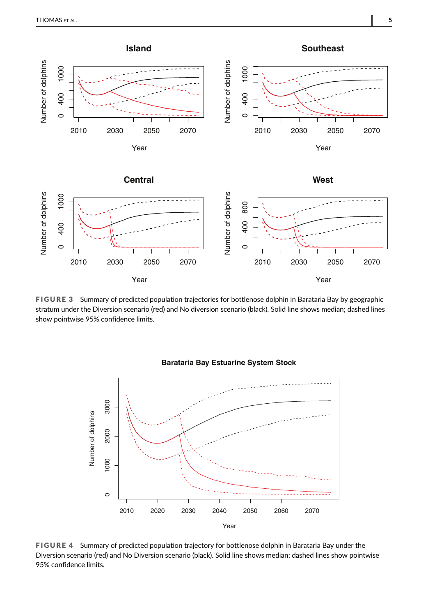

FIGURE 3 Summary of predicted population trajectories for bottlenose dolphin in Barataria Bay by geographic stratum under the Diversion scenario (red) and No diversion scenario (black). Solid line shows median; dashed lines show pointwise 95% confidence limits.



### **Barataria Bay Estuarine System Stock**

FIGURE 4 Summary of predicted population trajectory for bottlenose dolphin in Barataria Bay under the Diversion scenario (red) and No Diversion scenario (black). Solid line shows median; dashed lines show pointwise 95% confidence limits.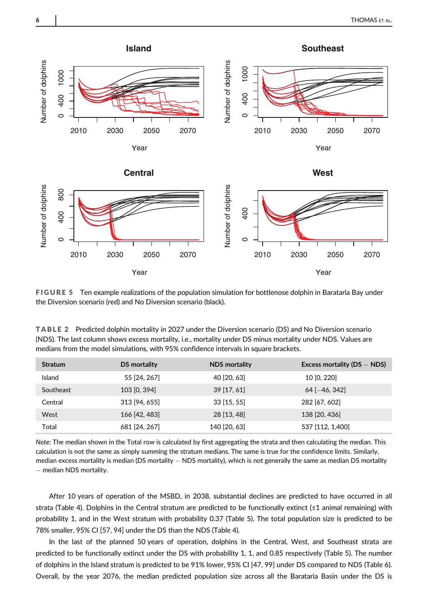

FIGURE 5 Ten example realizations of the population simulation for bottlenose dolphin in Barataria Bay under the Diversion scenario (red) and No Diversion scenario (black).

TABLE 2 Predicted dolphin mortality in 2027 under the Diversion scenario (DS) and No Diversion scenario (NDS). The last column shows excess mortality, i.e., mortality under DS minus mortality under NDS. Values are medians from the model simulations, with 95% confidence intervals in square brackets.

| <b>Stratum</b> | DS mortality  | <b>NDS</b> mortality | Excess mortality ( $DS - NDS$ ) |
|----------------|---------------|----------------------|---------------------------------|
| Island         | 55 [24, 267]  | 40 [20, 63]          | 10 [0, 220]                     |
| Southeast      | 103 [0, 394]  | $39$ [17, 61]        | $64$ [-46, 342]                 |
| Central        | 313 [94, 655] | $33$ [15, 55]        | 282 [67, 602]                   |
| West           | 166 [42, 483] | 28 [13, 48]          | 138 [20, 436]                   |
| Total          | 681 [24, 267] | 140 [20, 63]         | 537 [112, 1,400]                |

Note: The median shown in the Total row is calculated by first aggregating the strata and then calculating the median. This calculation is not the same as simply summing the stratum medians. The same is true for the confidence limits. Similarly, median excess mortality is median (DS mortality  $-$  NDS mortality), which is not generally the same as median DS mortality  $-$  median NDS mortality.

After 10 years of operation of the MSBD, in 2038, substantial declines are predicted to have occurred in all strata (Table 4). Dolphins in the Central stratum are predicted to be functionally extinct (≤1 animal remaining) with probability 1, and in the West stratum with probability 0.37 (Table 5). The total population size is predicted to be 78% smaller, 95% CI [57, 94] under the DS than the NDS (Table 4).

In the last of the planned 50 years of operation, dolphins in the Central, West, and Southeast strata are predicted to be functionally extinct under the DS with probability 1, 1, and 0.85 respectively (Table 5). The number of dolphins in the Island stratum is predicted to be 91% lower, 95% CI [47, 99] under DS compared to NDS (Table 6). Overall, by the year 2076, the median predicted population size across all the Barataria Basin under the DS is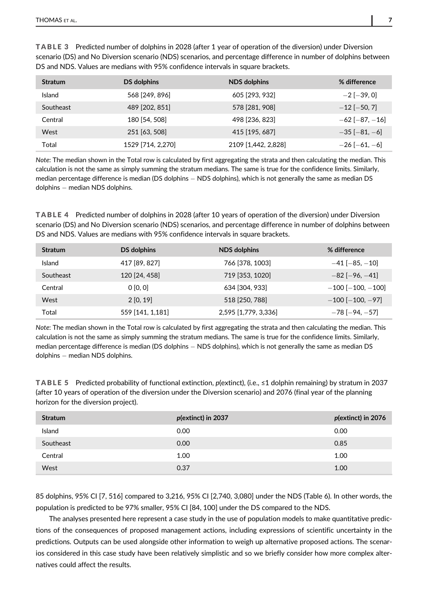| <b>Stratum</b> | DS dolphins       | NDS dolphins        | % difference           |
|----------------|-------------------|---------------------|------------------------|
| Island         | 568 [249, 896]    | 605 [293, 932]      | $-2$ [ $-39, 0$ ]      |
| Southeast      | 489 [202, 851]    | 578 [281, 908]      | $-12$ [ $-50, 7$ ]     |
| Central        | 180 [54, 508]     | 498 [236, 823]      | $-62$ [ $-87, -16$ ]   |
| West           | 251 [63, 508]     | 415 [195, 687]      | $-35$ [ $-81, -6$ ]    |
| Total          | 1529 [714, 2,270] | 2109 [1,442, 2,828] | $-26$ [ $-61$ , $-6$ ] |

TABLE 3 Predicted number of dolphins in 2028 (after 1 year of operation of the diversion) under Diversion scenario (DS) and No Diversion scenario (NDS) scenarios, and percentage difference in number of dolphins between DS and NDS. Values are medians with 95% confidence intervals in square brackets.

Note: The median shown in the Total row is calculated by first aggregating the strata and then calculating the median. This calculation is not the same as simply summing the stratum medians. The same is true for the confidence limits. Similarly, median percentage difference is median (DS dolphins  $-$  NDS dolphins), which is not generally the same as median DS dolphins — median NDS dolphins.

TABLE 4 Predicted number of dolphins in 2028 (after 10 years of operation of the diversion) under Diversion scenario (DS) and No Diversion scenario (NDS) scenarios, and percentage difference in number of dolphins between DS and NDS. Values are medians with 95% confidence intervals in square brackets.

| <b>Stratum</b> | DS dolphins      | <b>NDS</b> dolphins  | % difference               |
|----------------|------------------|----------------------|----------------------------|
| <b>Island</b>  | 417 [89, 827]    | 766 [378, 1003]      | $-41$ [ $-85, -10$ ]       |
| Southeast      | 120 [24, 458]    | 719 [353, 1020]      | $-82$ [ $-96$ , $-41$ ]    |
| Central        | 0 [0, 0]         | 634 [304, 933]       | $-100$ [ $-100$ , $-100$ ] |
| West           | 2[0, 19]         | 518 [250, 788]       | $-100$ [ $-100$ , $-97$ ]  |
| Total          | 559 [141, 1,181] | 2,595 [1,779, 3,336] | $-78$ [ $-94$ , $-57$ ]    |

Note: The median shown in the Total row is calculated by first aggregating the strata and then calculating the median. This calculation is not the same as simply summing the stratum medians. The same is true for the confidence limits. Similarly, median percentage difference is median (DS dolphins  $-$  NDS dolphins), which is not generally the same as median DS dolphins — median NDS dolphins.

TABLE 5 Predicted probability of functional extinction,  $p$ (extinct), (i.e.,  $\leq 1$  dolphin remaining) by stratum in 2037 (after 10 years of operation of the diversion under the Diversion scenario) and 2076 (final year of the planning horizon for the diversion project).

| <b>Stratum</b> | $p$ (extinct) in 2037 | p(extinct) in 2076 |
|----------------|-----------------------|--------------------|
| Island         | 0.00                  | 0.00               |
| Southeast      | 0.00                  | 0.85               |
| Central        | 1.00                  | 1.00               |
| West           | 0.37                  | 1.00               |

85 dolphins, 95% CI [7, 516] compared to 3,216, 95% CI [2,740, 3,080] under the NDS (Table 6). In other words, the population is predicted to be 97% smaller, 95% CI [84, 100] under the DS compared to the NDS.

The analyses presented here represent a case study in the use of population models to make quantitative predictions of the consequences of proposed management actions, including expressions of scientific uncertainty in the predictions. Outputs can be used alongside other information to weigh up alternative proposed actions. The scenarios considered in this case study have been relatively simplistic and so we briefly consider how more complex alternatives could affect the results.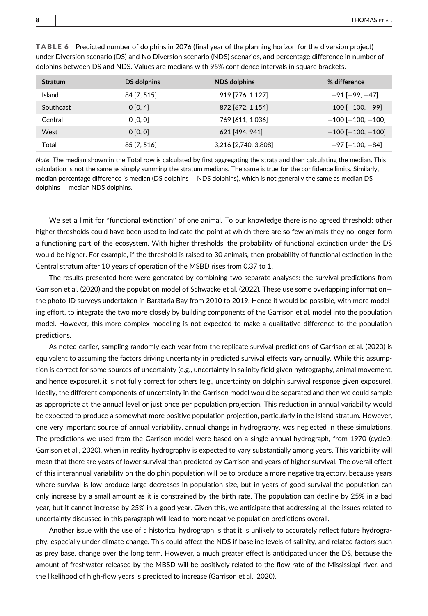| <b>Stratum</b> | DS dolphins | <b>NDS</b> dolphins  | % difference               |
|----------------|-------------|----------------------|----------------------------|
| Island         | 84 [7, 515] | 919 [776, 1,127]     | $-91$ [ $-99, -47$ ]       |
| Southeast      | 0 [0, 4]    | 872 [672, 1,154]     | $-100$ [ $-100$ , $-99$ ]  |
| Central        | 0 [0, 0]    | 769 [611, 1,036]     | $-100$ [ $-100$ , $-100$ ] |
| West           | 0 [0, 0]    | 621 [494, 941]       | $-100$ [ $-100$ , $-100$ ] |
| Total          | 85 [7, 516] | 3,216 [2,740, 3,808] | $-97$ [ $-100$ , $-84$ ]   |

TABLE 6 Predicted number of dolphins in 2076 (final year of the planning horizon for the diversion project) under Diversion scenario (DS) and No Diversion scenario (NDS) scenarios, and percentage difference in number of dolphins between DS and NDS. Values are medians with 95% confidence intervals in square brackets.

Note: The median shown in the Total row is calculated by first aggregating the strata and then calculating the median. This calculation is not the same as simply summing the stratum medians. The same is true for the confidence limits. Similarly, median percentage difference is median (DS dolphins  $-$  NDS dolphins), which is not generally the same as median DS dolphins — median NDS dolphins.

We set a limit for "functional extinction" of one animal. To our knowledge there is no agreed threshold; other higher thresholds could have been used to indicate the point at which there are so few animals they no longer form a functioning part of the ecosystem. With higher thresholds, the probability of functional extinction under the DS would be higher. For example, if the threshold is raised to 30 animals, then probability of functional extinction in the Central stratum after 10 years of operation of the MSBD rises from 0.37 to 1.

The results presented here were generated by combining two separate analyses: the survival predictions from Garrison et al. (2020) and the population model of Schwacke et al. (2022). These use some overlapping information the photo-ID surveys undertaken in Barataria Bay from 2010 to 2019. Hence it would be possible, with more modeling effort, to integrate the two more closely by building components of the Garrison et al. model into the population model. However, this more complex modeling is not expected to make a qualitative difference to the population predictions.

As noted earlier, sampling randomly each year from the replicate survival predictions of Garrison et al. (2020) is equivalent to assuming the factors driving uncertainty in predicted survival effects vary annually. While this assumption is correct for some sources of uncertainty (e.g., uncertainty in salinity field given hydrography, animal movement, and hence exposure), it is not fully correct for others (e.g., uncertainty on dolphin survival response given exposure). Ideally, the different components of uncertainty in the Garrison model would be separated and then we could sample as appropriate at the annual level or just once per population projection. This reduction in annual variability would be expected to produce a somewhat more positive population projection, particularly in the Island stratum. However, one very important source of annual variability, annual change in hydrography, was neglected in these simulations. The predictions we used from the Garrison model were based on a single annual hydrograph, from 1970 (cycle0; Garrison et al., 2020), when in reality hydrography is expected to vary substantially among years. This variability will mean that there are years of lower survival than predicted by Garrison and years of higher survival. The overall effect of this interannual variability on the dolphin population will be to produce a more negative trajectory, because years where survival is low produce large decreases in population size, but in years of good survival the population can only increase by a small amount as it is constrained by the birth rate. The population can decline by 25% in a bad year, but it cannot increase by 25% in a good year. Given this, we anticipate that addressing all the issues related to uncertainty discussed in this paragraph will lead to more negative population predictions overall.

Another issue with the use of a historical hydrograph is that it is unlikely to accurately reflect future hydrography, especially under climate change. This could affect the NDS if baseline levels of salinity, and related factors such as prey base, change over the long term. However, a much greater effect is anticipated under the DS, because the amount of freshwater released by the MBSD will be positively related to the flow rate of the Mississippi river, and the likelihood of high-flow years is predicted to increase (Garrison et al., 2020).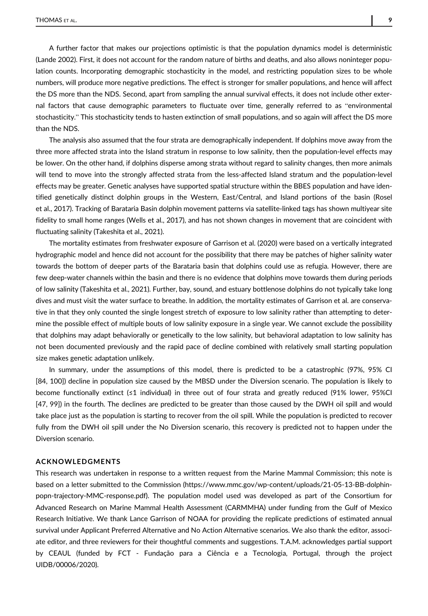A further factor that makes our projections optimistic is that the population dynamics model is deterministic (Lande 2002). First, it does not account for the random nature of births and deaths, and also allows noninteger population counts. Incorporating demographic stochasticity in the model, and restricting population sizes to be whole numbers, will produce more negative predictions. The effect is stronger for smaller populations, and hence will affect the DS more than the NDS. Second, apart from sampling the annual survival effects, it does not include other external factors that cause demographic parameters to fluctuate over time, generally referred to as "environmental stochasticity." This stochasticity tends to hasten extinction of small populations, and so again will affect the DS more than the NDS.

The analysis also assumed that the four strata are demographically independent. If dolphins move away from the three more affected strata into the Island stratum in response to low salinity, then the population-level effects may be lower. On the other hand, if dolphins disperse among strata without regard to salinity changes, then more animals will tend to move into the strongly affected strata from the less-affected Island stratum and the population-level effects may be greater. Genetic analyses have supported spatial structure within the BBES population and have identified genetically distinct dolphin groups in the Western, East/Central, and Island portions of the basin (Rosel et al., 2017). Tracking of Barataria Basin dolphin movement patterns via satellite-linked tags has shown multiyear site fidelity to small home ranges (Wells et al., 2017), and has not shown changes in movement that are coincident with fluctuating salinity (Takeshita et al., 2021).

The mortality estimates from freshwater exposure of Garrison et al. (2020) were based on a vertically integrated hydrographic model and hence did not account for the possibility that there may be patches of higher salinity water towards the bottom of deeper parts of the Barataria basin that dolphins could use as refugia. However, there are few deep-water channels within the basin and there is no evidence that dolphins move towards them during periods of low salinity (Takeshita et al., 2021). Further, bay, sound, and estuary bottlenose dolphins do not typically take long dives and must visit the water surface to breathe. In addition, the mortality estimates of Garrison et al. are conservative in that they only counted the single longest stretch of exposure to low salinity rather than attempting to determine the possible effect of multiple bouts of low salinity exposure in a single year. We cannot exclude the possibility that dolphins may adapt behaviorally or genetically to the low salinity, but behavioral adaptation to low salinity has not been documented previously and the rapid pace of decline combined with relatively small starting population size makes genetic adaptation unlikely.

In summary, under the assumptions of this model, there is predicted to be a catastrophic (97%, 95% CI [84, 100]) decline in population size caused by the MBSD under the Diversion scenario. The population is likely to become functionally extinct (≤1 individual) in three out of four strata and greatly reduced (91% lower, 95%CI [47, 99]) in the fourth. The declines are predicted to be greater than those caused by the DWH oil spill and would take place just as the population is starting to recover from the oil spill. While the population is predicted to recover fully from the DWH oil spill under the No Diversion scenario, this recovery is predicted not to happen under the Diversion scenario.

#### ACKNOWLEDGMENTS

This research was undertaken in response to a written request from the Marine Mammal Commission; this note is based on a letter submitted to the Commission [\(https://www.mmc.gov/wp-content/uploads/21-05-13-BB-dolphin](https://www.mmc.gov/wp-content/uploads/21-05-13-BB-dolphin-popn-trajectory-MMC-response.pdf)[popn-trajectory-MMC-response.pdf](https://www.mmc.gov/wp-content/uploads/21-05-13-BB-dolphin-popn-trajectory-MMC-response.pdf)). The population model used was developed as part of the Consortium for Advanced Research on Marine Mammal Health Assessment (CARMMHA) under funding from the Gulf of Mexico Research Initiative. We thank Lance Garrison of NOAA for providing the replicate predictions of estimated annual survival under Applicant Preferred Alternative and No Action Alternative scenarios. We also thank the editor, associate editor, and three reviewers for their thoughtful comments and suggestions. T.A.M. acknowledges partial support by CEAUL (funded by FCT - Fundação para a Ciência e a Tecnologia, Portugal, through the project UIDB/00006/2020).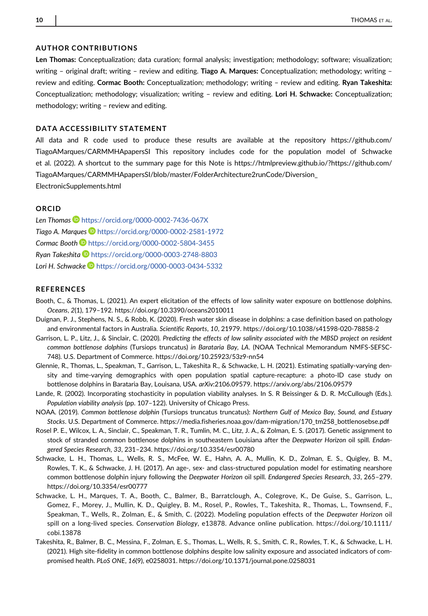#### AUTHOR CONTRIBUTIONS

Len Thomas: Conceptualization; data curation; formal analysis; investigation; methodology; software; visualization; writing - original draft; writing - review and editing. Tiago A. Marques: Conceptualization; methodology; writing review and editing. Cormac Booth: Conceptualization; methodology; writing – review and editing. Ryan Takeshita: Conceptualization; methodology; visualization; writing – review and editing. Lori H. Schwacke: Conceptualization; methodology; writing – review and editing.

#### DATA ACCESSIBILITY STATEMENT

All data and R code used to produce these results are available at the repository [https://github.com/](https://github.com/TiagoAMarques/CARMMHApapersSI) [TiagoAMarques/CARMMHApapersSI](https://github.com/TiagoAMarques/CARMMHApapersSI) This repository includes code for the population model of Schwacke et al. (2022). A shortcut to the summary page for this Note is [https://htmlpreview.github.io/?https://github.com/](https://htmlpreview.github.io/?https://github.com/TiagoAMarques/CARMMHApapersSI/blob/master/FolderArchitecture2runCode/Diversion_ElectronicSupplements.html) [TiagoAMarques/CARMMHApapersSI/blob/master/FolderArchitecture2runCode/Diversion\\_](https://htmlpreview.github.io/?https://github.com/TiagoAMarques/CARMMHApapersSI/blob/master/FolderArchitecture2runCode/Diversion_ElectronicSupplements.html)

[ElectronicSupplements.html](https://htmlpreview.github.io/?https://github.com/TiagoAMarques/CARMMHApapersSI/blob/master/FolderArchitecture2runCode/Diversion_ElectronicSupplements.html)

#### ORCID

Len Thomas <https://orcid.org/0000-0002-7436-067X> Tiago A. Marques **b** <https://orcid.org/0000-0002-2581-1972> Cormac Booth <https://orcid.org/0000-0002-5804-3455> Ryan Takeshita <https://orcid.org/0000-0003-2748-8803> Lori H. Schwacke **<https://orcid.org/0000-0003-0434-5332>** 

#### **REFERENCES**

- Booth, C., & Thomas, L. (2021). An expert elicitation of the effects of low salinity water exposure on bottlenose dolphins. Oceans, 2(1), 179–192.<https://doi.org/10.3390/oceans2010011>
- Duignan, P. J., Stephens, N. S., & Robb, K. (2020). Fresh water skin disease in dolphins: a case definition based on pathology and environmental factors in Australia. Scientific Reports, 10, 21979.<https://doi.org/10.1038/s41598-020-78858-2>
- Garrison, L. P., Litz, J., & Sinclair, C. (2020). Predicting the effects of low salinity associated with the MBSD project on resident common bottlenose dolphins (Tursiops truncatus) in Barataria Bay, LA. (NOAA Technical Memorandum NMFS-SEFSC-748). U.S. Department of Commerce.<https://doi.org/10.25923/53z9-nn54>
- Glennie, R., Thomas, L., Speakman, T., Garrison, L., Takeshita R., & Schwacke, L. H. (2021). Estimating spatially-varying density and time-varying demographics with open population spatial capture-recapture: a photo-ID case study on bottlenose dolphins in Barataria Bay, Louisana, USA. arXiv:2106.09579.<https://arxiv.org/abs/2106.09579>
- Lande, R. (2002). Incorporating stochasticity in population viability analyses. In S. R Beissinger & D. R. McCullough (Eds.). Population viability analysis (pp. 107–122). University of Chicago Press.
- NOAA. (2019). Common bottlenose dolphin (Tursiops truncatus truncatus): Northern Gulf of Mexico Bay, Sound, and Estuary Stocks. U.S. Department of Commerce. [https://media.fisheries.noaa.gov/dam-migration/170\\_tm258\\_bottlenosebse.pdf](https://media.fisheries.noaa.gov/dam-migration/170_tm258_bottlenosebse.pdf)
- Rosel P. E., Wilcox, L. A., Sinclair, C., Speakman, T. R., Tumlin, M. C., Litz, J. A., & Zolman, E. S. (2017). Genetic assignment to stock of stranded common bottlenose dolphins in southeastern Louisiana after the Deepwater Horizon oil spill. Endangered Species Research, 33, 231–234.<https://doi.org/10.3354/esr00780>
- Schwacke, L. H., Thomas, L., Wells, R. S., McFee, W. E., Hahn, A. A., Mullin, K. D., Zolman, E. S., Quigley, B. M., Rowles, T. K., & Schwacke, J. H. (2017). An age-, sex- and class-structured population model for estimating nearshore common bottlenose dolphin injury following the Deepwater Horizon oil spill. Endangered Species Research, 33, 265–279. <https://doi.org/10.3354/esr00777>
- Schwacke, L. H., Marques, T. A., Booth, C., Balmer, B., Barratclough, A., Colegrove, K., De Guise, S., Garrison, L., Gomez, F., Morey, J., Mullin, K. D., Quigley, B. M., Rosel, P., Rowles, T., Takeshita, R., Thomas, L., Townsend, F., Speakman, T., Wells, R., Zolman, E., & Smith, C. (2022). Modeling population effects of the Deepwater Horizon oil spill on a long-lived species. Conservation Biology, e13878. Advance online publication. [https://doi.org/10.1111/](https://doi.org/10.1111/cobi.13878) [cobi.13878](https://doi.org/10.1111/cobi.13878)
- Takeshita, R., Balmer, B. C., Messina, F., Zolman, E. S., Thomas, L., Wells, R. S., Smith, C. R., Rowles, T. K., & Schwacke, L. H. (2021). High site-fidelity in common bottlenose dolphins despite low salinity exposure and associated indicators of compromised health. PLoS ONE, 16(9), e0258031.<https://doi.org/10.1371/journal.pone.0258031>